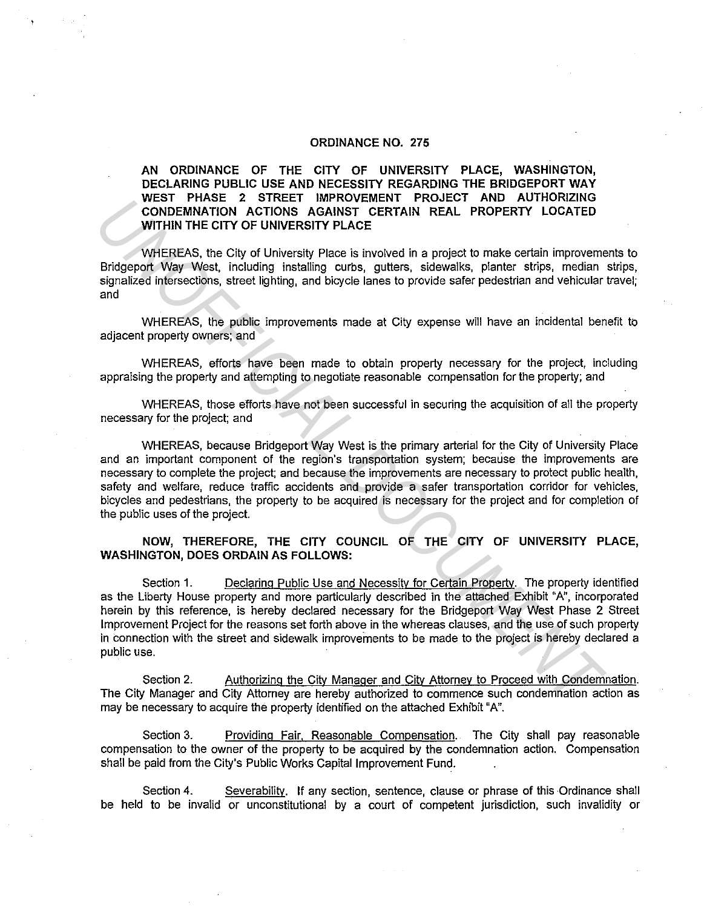#### ORDINANCE NO. 275

AN ORDINANCE OF THE CITY OF UNIVERSITY PLACE, WASHINGTON, DECLARING PUBLIC USE AND NECESSITY REGARDING THE BRIDGEPORT WAY WEST PHASE 2 STREET IMPROVEMENT PROJECT AND AUTHORIZING CONDEMNATION ACTIONS AGAINST CERTAIN REAL PROPERTY LOCATED WITHIN THE CITY OF UNIVERSITY PLACE

WHEREAS, the City of University Place is involved in a project to make certain improvements to Bridgeport Way West, including installing curbs, gutters, sidewalks, planter strips, median strips, signalized intersections, street lighting, and bicycle lanes to provide safer pedestrian and vehicular travel; and

WHEREAS, the public improvements made at City expense will have an incidental benefit to adjacent property owners; and

WHEREAS, efforts have been made to obtain property necessary for the project, including appraising the property and attempting to negotiate reasonable compensation for the property; and

WHEREAS, those efforts have not been successful in securing the acquisition of all the property necessary for the project; and

WHEREAS, because Bridgeport Way West is the primary arterial for the City of University Place and an important component of the region's transportation system; because the improvements are necessary to complete the project; and because the improvements are necessary to protect public health, safety and welfare, reduce traffic accidents and provide a safer transportation corridor for vehicles, bicycles and pedestrians, the property to be acquired is necessary for the project and for completion of the public uses of the project. **UNCE 2** SINE I IMPROVEMENT PRODUCT AND ANOTHER THOM CONDEMNATION ACTIONS AGAINST CERTAIN REAL PROPERTY LOCATED<br>
WITHIN THE CITY OF UNIVERSITY PLACE<br>
WITHIN THE CITY OF UNIVERSITY PLACE<br>
WITHIN THE CITY OF UNIVERSITY PLACE

### NOW, THEREFORE, THE CITY COUNCIL OF THE CITY OF UNIVERSITY PLACE, WASHINGTON, DOES ORDAIN AS FOLLOWS:

Section 1. Declaring Public Use and Necessity for Certain Property. The property identified as the Liberty House property and more particularly described in the attached Exhibit "A", incorporated herein by this reference, is hereby declared necessary for the Bridgeport Way West Phase 2 Street Improvement Project for the reasons set forth above in the whereas clauses, and the use of such property in connection with the street and sidewalk improvements to be made to the project is hereby declared a public use.

Section 2. Authorizing the City Manager and City Attorney to Proceed with Condemnation. The City Manager and City Attorney are hereby authorized to commence such condemnation action as may be necessary to acquire the property identified on the attached Exhibit "A".

Section 3. Providing Fair, Reasonable Compensation. The City shall pay reasonable compensation to the owner of the property to be acquired by the condemnation action. Compensation shall be paid from the City's Public Works Capital Improvement Fund.

Section 4. Severability. If any section, sentence, clause or phrase of this Ordinance shall be held to be invalid or unconstitutional by a court of competent jurisdiction, such invalidity or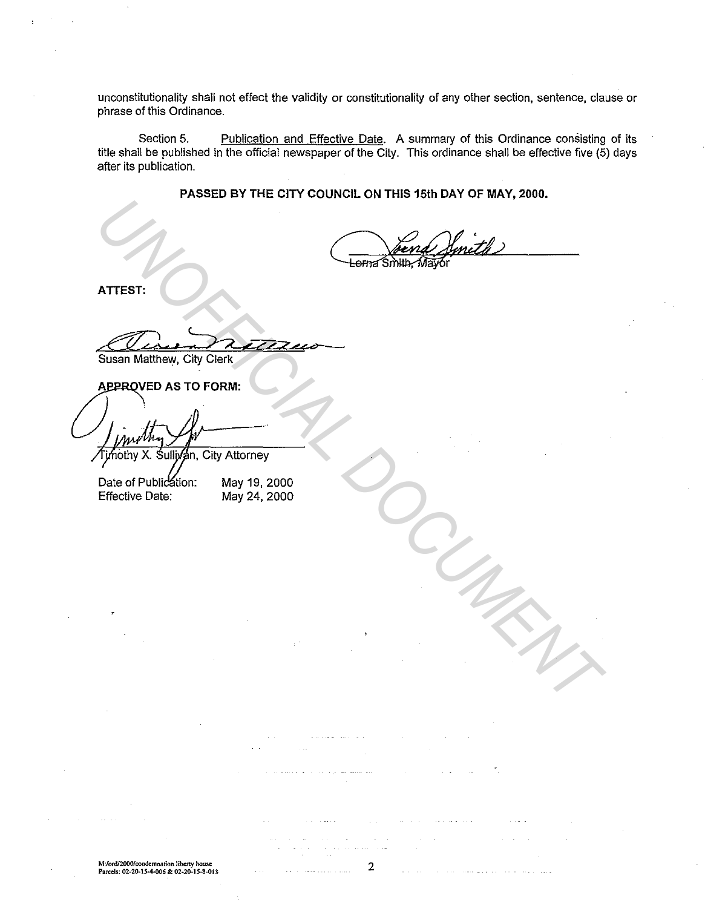unconstitutionality shall not effect the validity or constitutionality of any other section, sentence, clause or phrase of this Ordinance.

Section 5. Publication and Effective Date. A summary of this Ordinance consisting of its title shall be published in the official newspaper of the City. This ordinance shall be effective five (5) days after its publication.

**PASSED BY THE CITY COUNCIL ON THIS 15th DAY OF MAY, 2000.** 

**ATIEST:** 

Susan Matthew, City Clerk

n, City Attorney ATTEST:<br>
ATTEST:<br>
Susan Matthew, City Clerk<br>
APPROVED AS TO FORM:<br>
ApproveD AS TO FORM:<br>
ApproveD AS TO FORM:<br>
Date of Publication: May 19, 2000<br>
Effective Date: May 24, 2000<br>
Effective Date: May 24, 2000

May 19, 2000 May 24, 2000

**M:!ord/2000/condemnarion liberty house Parcels: 02-20-15-4-006 & 02-20-15-8-013**  2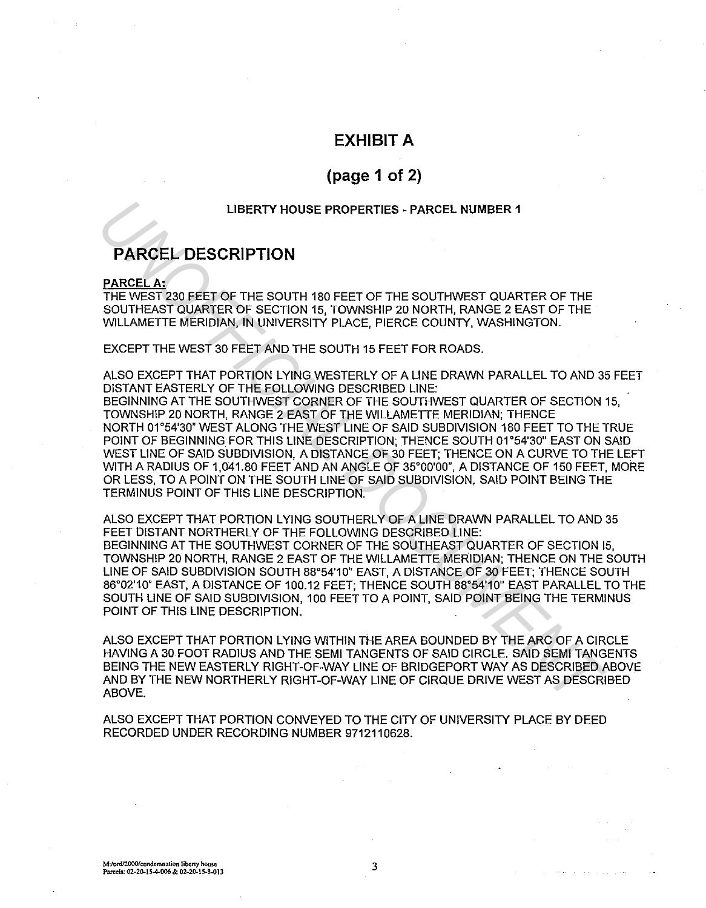## **EXHIBIT A**

# **(page 1 of 2)**

### **LIBERTY HOUSE PROPERTIES - PARCEL NUMBER 1**

# **PARCEL DESCRIPTION**

#### **PARCEL A:**

THE WEST 230 FEET OF THE SOUTH 180 FEET OF THE SOUTHWEST QUARTER OF THE SOUTHEAST QUARTER OF SECTION 15, TOWNSHIP 20 NORTH, RANGE 2 EAST OF THE WILLAMETTE MERIDIAN, IN UNIVERSITY PLACE, PIERCE COUNTY, WASHINGTON.

EXCEPT THE WEST 30 FEET AND THE SOUTH 15 FEET FOR ROADS.

ALSO EXCEPT THAT PORTION LYING WESTERLY OF A LINE DRAWN PARALLEL TO AND 35 FEET DISTANT EASTERLY OF THE FOLLOWING DESCRIBED LINE: BEGINNING AT THE SOUTHWEST CORNER OF THE SOUTHWEST QUARTER OF SECTION 15, TOWNSHIP 20 NORTH, RANGE 2 EAST OF THE WILLAMETTE MERIDIAN; THENCE NORTH 01°54'30" WEST ALONG THE WEST LINE OF SAID SUBDIVISION 180 FEET TO THE TRUE POINT OF BEGINNING. FOR THIS LINE DESCRIPTION; THENCE SOUTH 01°54'30" EAST ON SAID WEST LINE OF SAID SUBDIVISION, A DISTANCE OF 30 FEET; THENCE ON A CURVE TO THE LEFT WITH A RADIUS OF 1,041.80 FEET AND AN ANGLE OF 35°00'00", A DISTANCE OF 150 FEET, MORE OR LESS, TO A POINT ON THE SOUTH LINE OF SAID SUBDIVISION, SAID POINT BEING THE TERMINUS POINT OF THIS LINE DESCRIPTION. **INSERTY HOUSE PROPERTIES - PARCEL NUMBER 1<br>
PARCEL A:**<br>
PARCEL A:<br>
PARCEL A:<br>
PARCEL A:<br>
THE WEST 230 FEET OF THE SOUTH 180 FEET OF THE SOUTHWEST QUARTER OF THE<br>
SOUTHEAFT OF THE SOUTH 180 FEET OF THE SOUTHWEST QUARTER OF

ALSO EXCEPT THAT PORTION LYING SOUTHERLY OF A LINE DRAWN PARALLEL TO AND 35 FEET DISTANT NORTHERLY OF THE FOLLOWING DESCRIBED LINE: BEGINNING AT THE SOUTHWEST CORNER OF THE SOUTHEAST QUARTER OF SECTION 15, TOWNSHIP 20 NORTH, RANGE 2 EAST OF THE WILLAMETTE MERIDIAN; THENCE ON THE SOUTH LINE OF SAID SUBDIVISION SOUTH 88°54'10" EAST, A DISTANCE OF 30 FEET; THENCE SOUTH 86°02'10" EAST, A DISTANCE OF 100.12 FEET; THENCE SOUTH 88°54'10" EAST PARALLEL TO THE SOUTH LINE OF SAID SUBDIVISION, 100 FEET TO A POINT, SAID POINT BEING THE TERMINUS POINT OF THIS LINE DESCRIPTION.

ALSO EXCEPT THAT PORTION LYING WITHIN THE AREA BOUNDED BY THE ARC OF A CIRCLE HAVING A 30 FOOT RADIUS AND THE SEMI TANGENTS OF SAID CIRCLE. SAID SEMI TANGENTS BEING THE NEW EASTERLY RIGHT-OF-WAY LINE OF BRIDGEPORT WAY AS DESCRIBED ABOVE AND BY THE NEW NORTHERLY RIGHT-OF-WAY LINE OF CIRQUE DRIVE WEST AS DESCRIBED ABOVE.

ALSO EXCEPT THAT PORTION CONVEYED TO THE CITY OF UNIVERSITY PLACE BY DEED RECORDED UNDER RECORDING NUMBER 9712110628.